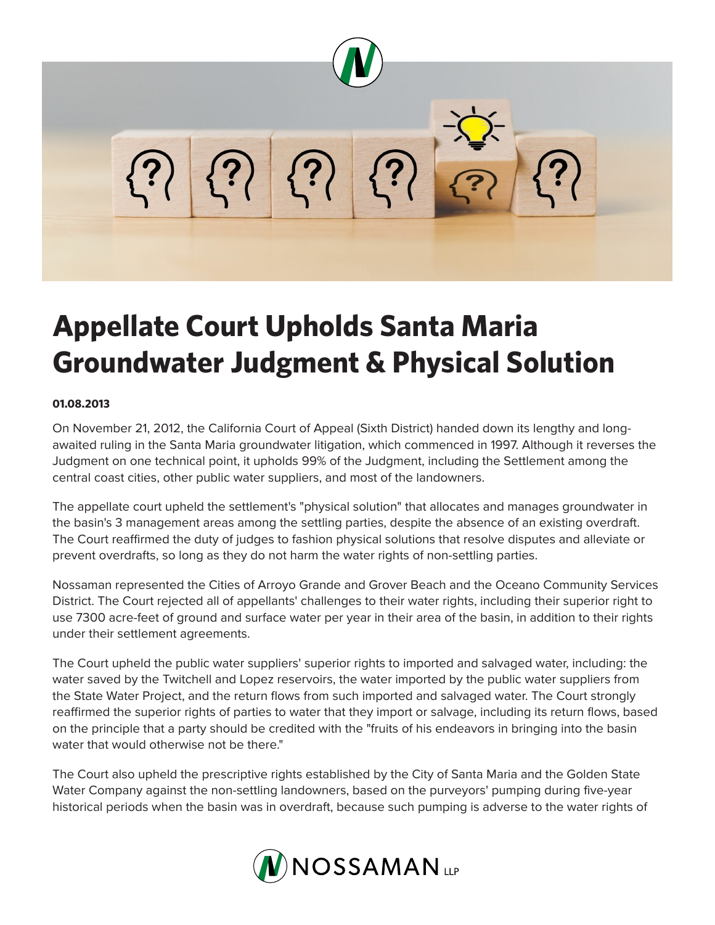

## **Appellate Court Upholds Santa Maria Groundwater Judgment & Physical Solution**

## **01.08.2013**

On November 21, 2012, the California Court of Appeal (Sixth District) handed down its lengthy and longawaited ruling in the Santa Maria groundwater litigation, which commenced in 1997. Although it reverses the Judgment on one technical point, it upholds 99% of the Judgment, including the Settlement among the central coast cities, other public water suppliers, and most of the landowners.

The appellate court upheld the settlement's "physical solution" that allocates and manages groundwater in the basin's 3 management areas among the settling parties, despite the absence of an existing overdraft. The Court reaffirmed the duty of judges to fashion physical solutions that resolve disputes and alleviate or prevent overdrafts, so long as they do not harm the water rights of non-settling parties.

Nossaman represented the Cities of Arroyo Grande and Grover Beach and the Oceano Community Services District. The Court rejected all of appellants' challenges to their water rights, including their superior right to use 7300 acre-feet of ground and surface water per year in their area of the basin, in addition to their rights under their settlement agreements.

The Court upheld the public water suppliers' superior rights to imported and salvaged water, including: the water saved by the Twitchell and Lopez reservoirs, the water imported by the public water suppliers from the State Water Project, and the return flows from such imported and salvaged water. The Court strongly reaffirmed the superior rights of parties to water that they import or salvage, including its return flows, based on the principle that a party should be credited with the "fruits of his endeavors in bringing into the basin water that would otherwise not be there."

The Court also upheld the prescriptive rights established by the City of Santa Maria and the Golden State Water Company against the non-settling landowners, based on the purveyors' pumping during five-year historical periods when the basin was in overdraft, because such pumping is adverse to the water rights of